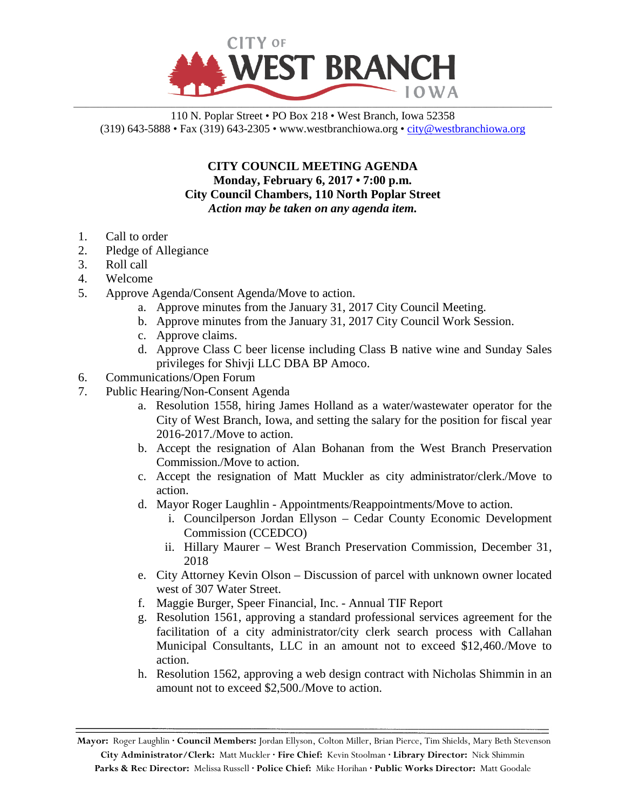

## 110 N. Poplar Street • PO Box 218 • West Branch, Iowa 52358 (319) 643-5888 • Fax (319) 643-2305 • www.westbranchiowa.org •  $\text{city@westbranchiowa.org}$

**CITY COUNCIL MEETING AGENDA Monday, February 6, 2017 • 7:00 p.m. City Council Chambers, 110 North Poplar Street** *Action may be taken on any agenda item.*

- 1. Call to order
- 2. Pledge of Allegiance
- 3. Roll call
- 4. Welcome
- 5. Approve Agenda/Consent Agenda/Move to action.
	- a. Approve minutes from the January 31, 2017 City Council Meeting.
	- b. Approve minutes from the January 31, 2017 City Council Work Session.
	- c. Approve claims.
	- d. Approve Class C beer license including Class B native wine and Sunday Sales privileges for Shivji LLC DBA BP Amoco.
- 6. Communications/Open Forum
- 7. Public Hearing/Non-Consent Agenda
	- a. Resolution 1558, hiring James Holland as a water/wastewater operator for the City of West Branch, Iowa, and setting the salary for the position for fiscal year 2016-2017./Move to action.
	- b. Accept the resignation of Alan Bohanan from the West Branch Preservation Commission./Move to action.
	- c. Accept the resignation of Matt Muckler as city administrator/clerk./Move to action.
	- d. Mayor Roger Laughlin Appointments/Reappointments/Move to action.
		- i. Councilperson Jordan Ellyson Cedar County Economic Development Commission (CCEDCO)
		- ii. Hillary Maurer West Branch Preservation Commission, December 31, 2018
	- e. City Attorney Kevin Olson Discussion of parcel with unknown owner located west of 307 Water Street.
	- f. Maggie Burger, Speer Financial, Inc. Annual TIF Report
	- g. Resolution 1561, approving a standard professional services agreement for the facilitation of a city administrator/city clerk search process with Callahan Municipal Consultants, LLC in an amount not to exceed \$12,460./Move to action.
	- h. Resolution 1562, approving a web design contract with Nicholas Shimmin in an amount not to exceed \$2,500./Move to action.

**Mayor:** Roger Laughlin **· Council Members:** Jordan Ellyson, Colton Miller, Brian Pierce, Tim Shields, Mary Beth Stevenson **City Administrator/Clerk:** Matt Muckler **· Fire Chief:** Kevin Stoolman **· Library Director:** Nick Shimmin **Parks & Rec Director:** Melissa Russell **· Police Chief:** Mike Horihan **· Public Works Director:** Matt Goodale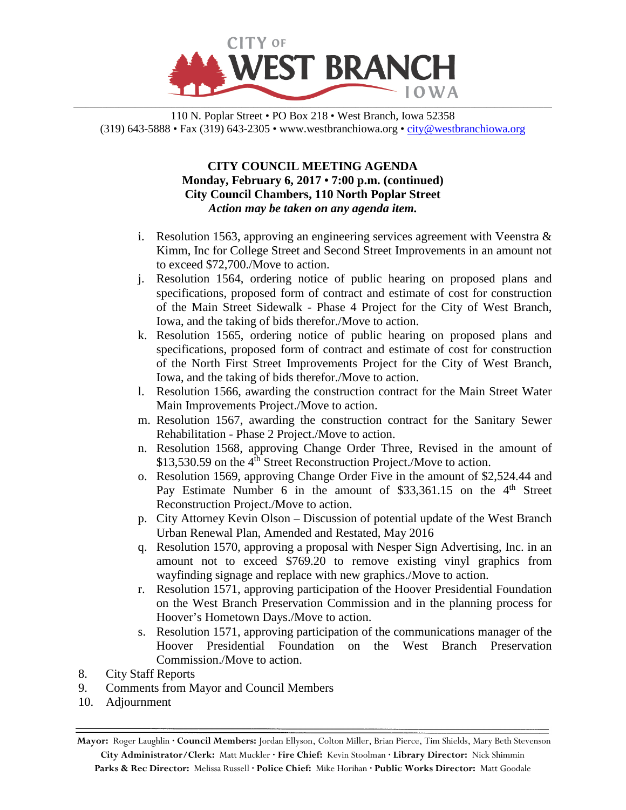

110 N. Poplar Street • PO Box 218 • West Branch, Iowa 52358 (319) 643-5888 • Fax (319) 643-2305 • www.westbranchiowa.org •  $\text{city@westbranchiowa.org}$ 

## **CITY COUNCIL MEETING AGENDA Monday, February 6, 2017 • 7:00 p.m. (continued) City Council Chambers, 110 North Poplar Street** *Action may be taken on any agenda item.*

- i. Resolution 1563, approving an engineering services agreement with Veenstra  $\&$ Kimm, Inc for College Street and Second Street Improvements in an amount not to exceed \$72,700./Move to action.
- j. Resolution 1564, ordering notice of public hearing on proposed plans and specifications, proposed form of contract and estimate of cost for construction of the Main Street Sidewalk - Phase 4 Project for the City of West Branch, Iowa, and the taking of bids therefor./Move to action.
- k. Resolution 1565, ordering notice of public hearing on proposed plans and specifications, proposed form of contract and estimate of cost for construction of the North First Street Improvements Project for the City of West Branch, Iowa, and the taking of bids therefor./Move to action.
- l. Resolution 1566, awarding the construction contract for the Main Street Water Main Improvements Project./Move to action.
- m. Resolution 1567, awarding the construction contract for the Sanitary Sewer Rehabilitation - Phase 2 Project./Move to action.
- n. Resolution 1568, approving Change Order Three, Revised in the amount of \$13,530.59 on the 4<sup>th</sup> Street Reconstruction Project./Move to action.
- o. Resolution 1569, approving Change Order Five in the amount of \$2,524.44 and Pay Estimate Number 6 in the amount of  $$33,361.15$  on the 4<sup>th</sup> Street Reconstruction Project./Move to action.
- p. City Attorney Kevin Olson Discussion of potential update of the West Branch Urban Renewal Plan, Amended and Restated, May 2016
- q. Resolution 1570, approving a proposal with Nesper Sign Advertising, Inc. in an amount not to exceed \$769.20 to remove existing vinyl graphics from wayfinding signage and replace with new graphics./Move to action.
- r. Resolution 1571, approving participation of the Hoover Presidential Foundation on the West Branch Preservation Commission and in the planning process for Hoover's Hometown Days./Move to action.
- s. Resolution 1571, approving participation of the communications manager of the Hoover Presidential Foundation on the West Branch Preservation Commission./Move to action.
- 8. City Staff Reports
- 9. Comments from Mayor and Council Members
- 10. Adjournment

**Mayor:** Roger Laughlin **· Council Members:** Jordan Ellyson, Colton Miller, Brian Pierce, Tim Shields, Mary Beth Stevenson **City Administrator/Clerk:** Matt Muckler **· Fire Chief:** Kevin Stoolman **· Library Director:** Nick Shimmin **Parks & Rec Director:** Melissa Russell **· Police Chief:** Mike Horihan **· Public Works Director:** Matt Goodale